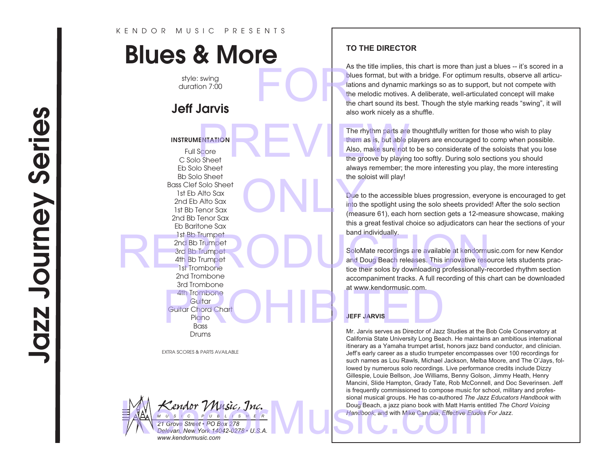### K E N D O R M U S I C P R E S E N T S

# Blues & More

style: swing duration 7:00

# Jeff Jarvis

#### INSTRUMENTATION

Full Score C Solo Sheet Eb Solo Sheet Bb Solo Sheet Bass Clef Solo Sheet 1st Eb Alto Sax 2nd Eb Alto Sax 1st Bb Tenor Sax 2nd Bb Tenor Sax Eb Baritone Sax 1st Bb Trumpet 2nd Bb Trumpet 3rd Bb Trumpet 4th Bb Trumpet 1st Trombone 2nd Trombone 3rd Trombone 4th Trombone **Guitar** Guitar Chord Chart Piano **Bass** 4th Trombone<br>
Guitar Chord Chart<br>
Picno<br>
Bass (Suitar Chord Chart<br>
Picno<br>
Bruns Sans (Suite of Jazz Students)

EXTRA SCORES & PARTS AVAILABLE

Drums



## **TO THE DIRECTOR**

As the title implies, this chart is more than just a blues -- it's scored in a blues format, but with a bridge. For optimum results, observe all articulations and dynamic markings so as to support, but not compete with the melodic motives. A deliberate, well-articulated concept will make the chart sound its best. Though the style marking reads "swing", it will also work nicely as a shuffle. blues<br>
altions<br>
the me<br>
the ch<br>
also w

The rhythm parts are thoughtfully written for those who wish to play them as is, but able players are encouraged to comp when possible. Also, make sure not to be so considerate of the soloists that you lose the groove by playing too softly. During solo sections you should always remember; the more interesting you play, the more interesting the soloist will play! ENTATION<br>
Score<br>
Score<br>
Sheet<br>
Disconsisted the groove by playing too aby always remember the method

Due to the accessible blues progression, everyone is encouraged to get into the spotlight using the solo sheets provided! After the solo section (measure 61), each horn section gets a 12-measure showcase, making this a great festival choice so adjudicators can hear the sections of your band individually. Due to the<br>
Due to the<br>
into the spo<br>
(measure 6<br>
this a great

SoloMate recordings are available at kendormusic.com for new Kendor and Doug Beach releases. This innovative resource lets students practice their solos by downloading professionally-recorded rhythm section accompaniment tracks. A full recording of this chart can be downloaded at www.kendormusic.com. SoloMate recordings are available at kendormusic.c<br>
2nd Bb Trumpet<br>
3rd Bb Trumpet<br>
1st Trombone<br>
2nd Trombone<br>
2nd Trombone

#### **JEFF JARVIS**

Mr. Jarvis serves as Director of Jazz Studies at the Bob Cole Conservatory at California State University Long Beach. He maintains an ambitious international itinerary as a Yamaha trumpet artist, honors jazz band conductor, and clinician. Jeff's early career as a studio trumpeter encompasses over 100 recordings for such names as Lou Rawls, Michael Jackson, Melba Moore, and The O'Jays, followed by numerous solo recordings. Live performance credits include Dizzy Gillespie, Louie Bellson, Joe Williams, Benny Golson, Jimmy Heath, Henry Mancini, Slide Hampton, Grady Tate, Rob McConnell, and Doc Severinsen. Jeff is frequently commissioned to compose music for school, military and professional musical groups. He has co-authored *The Jazz Educators Handbook* with Doug Beach, a jazz piano book with Matt Harris entitled *The Chord Voicing Handbook*, and with Mike Carubia, *Effective Etudes For Jazz*.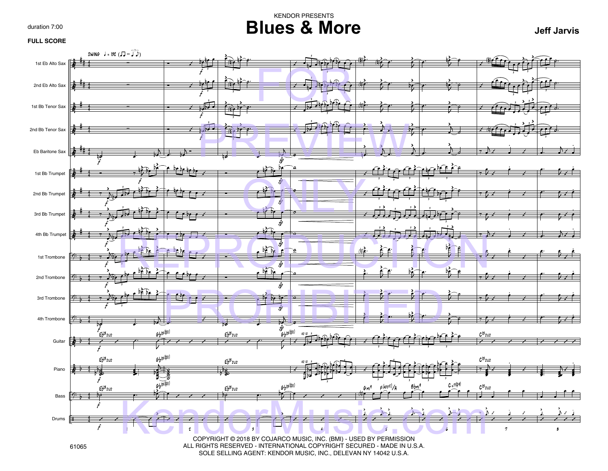#### duration 7:00

# KENDOR PRESENTS**Blues & More**

**Jeff Jarvis**

#### **FULL SCORE**



SOLE SELLING AGENT: KENDOR MUSIC, INC., DELEVAN NY 14042 U.S.A.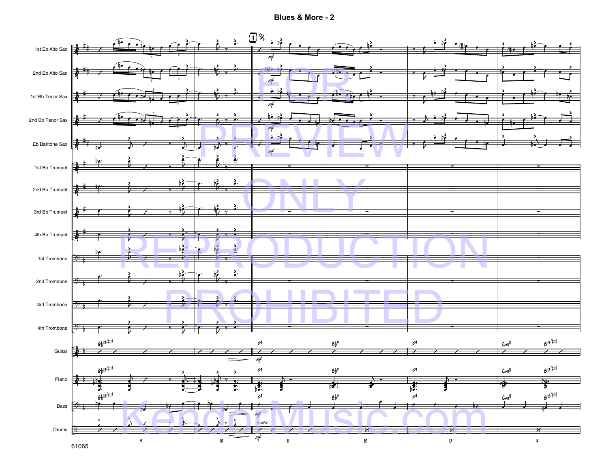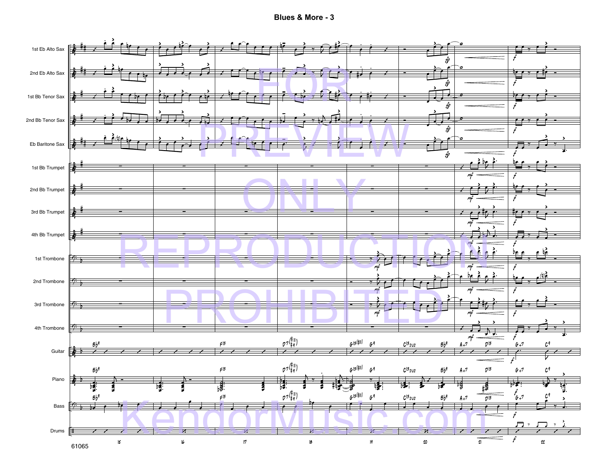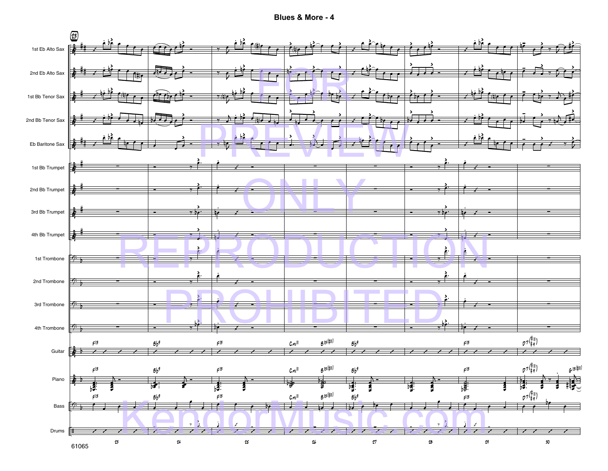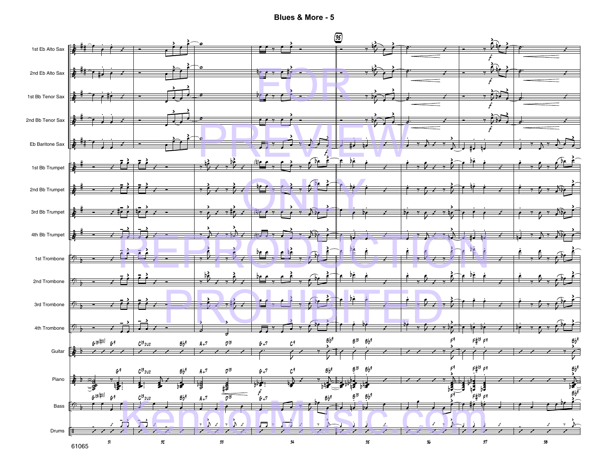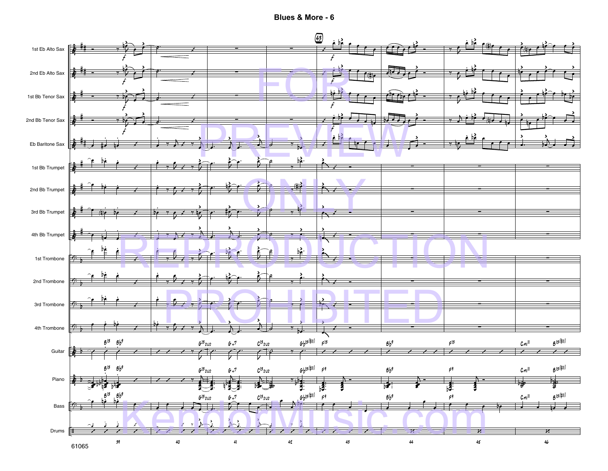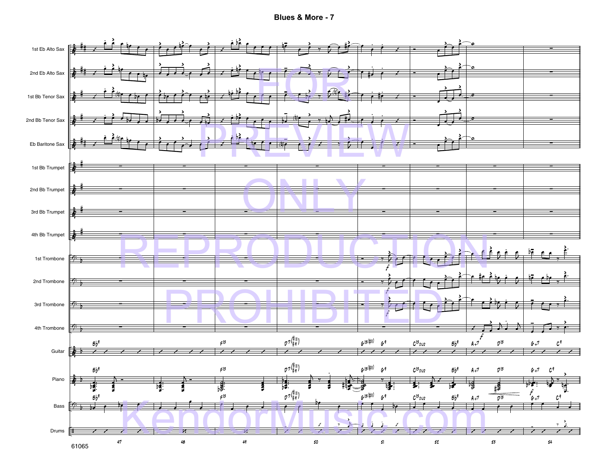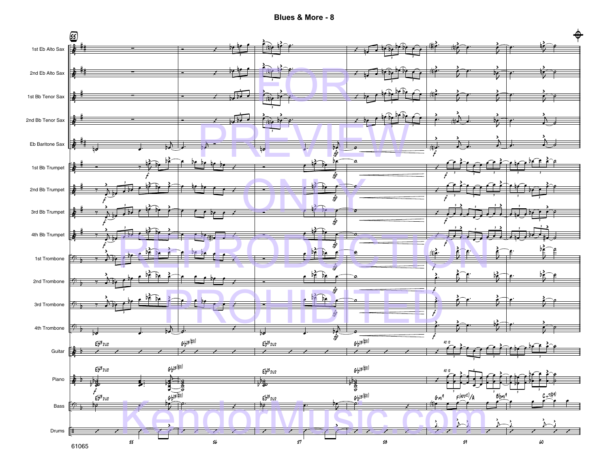**Blues & More - 8**

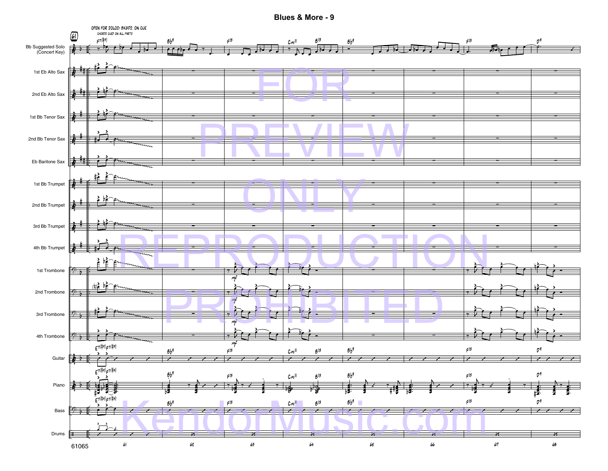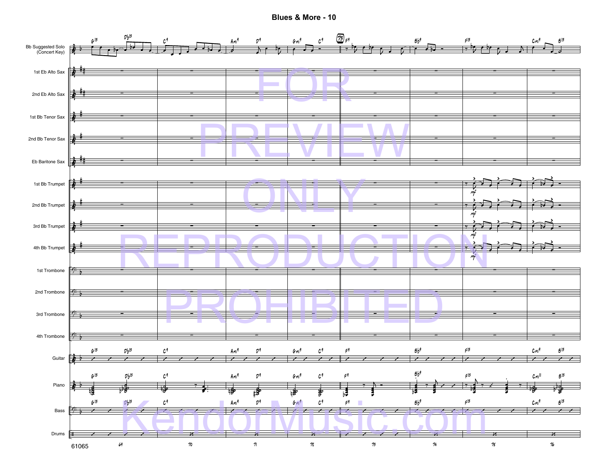![](_page_10_Figure_1.jpeg)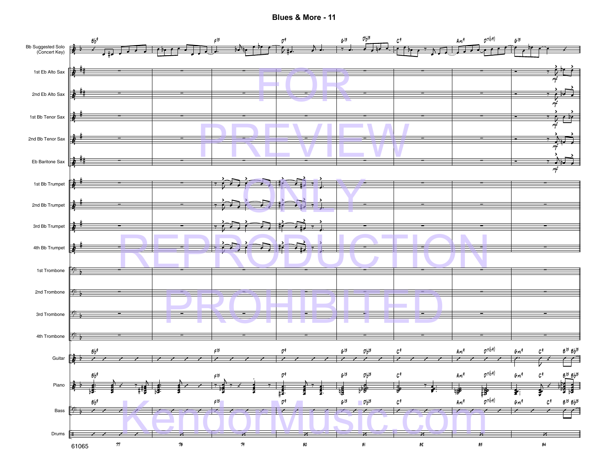![](_page_11_Figure_1.jpeg)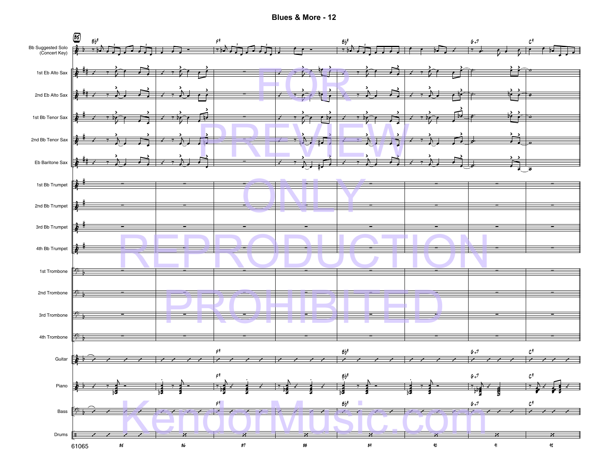**Blues & More - 12**

![](_page_12_Figure_1.jpeg)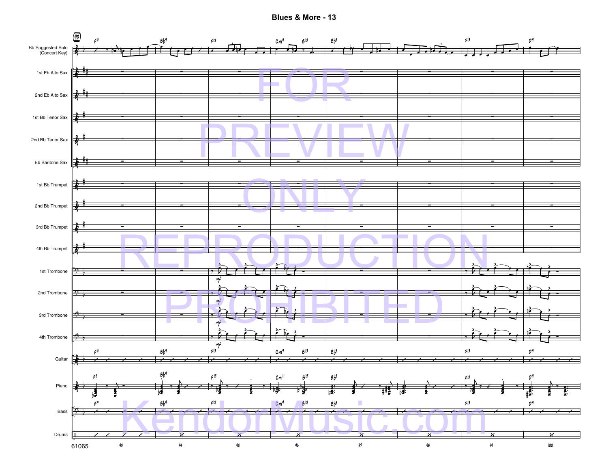Blues & More - 13

![](_page_13_Figure_1.jpeg)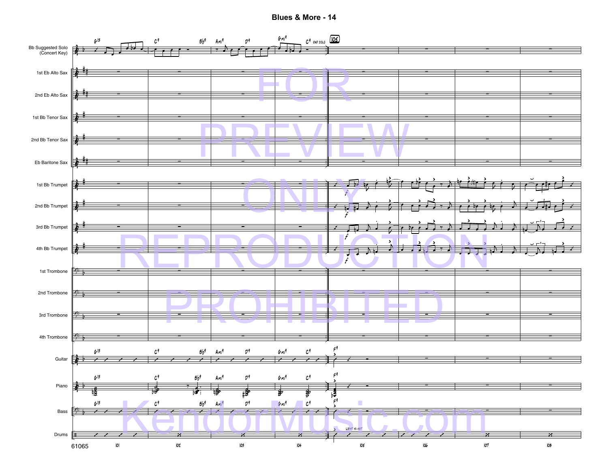![](_page_14_Figure_1.jpeg)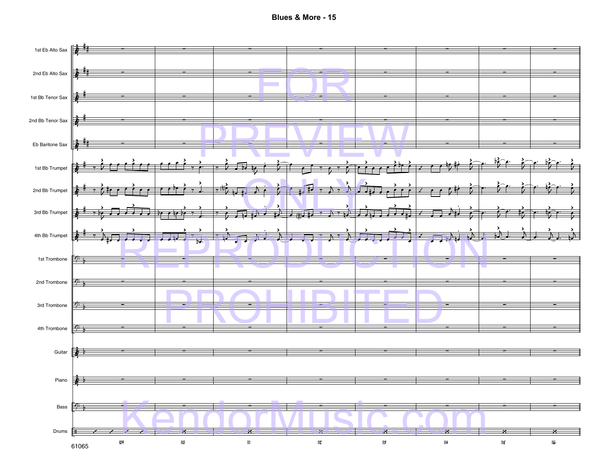![](_page_15_Figure_1.jpeg)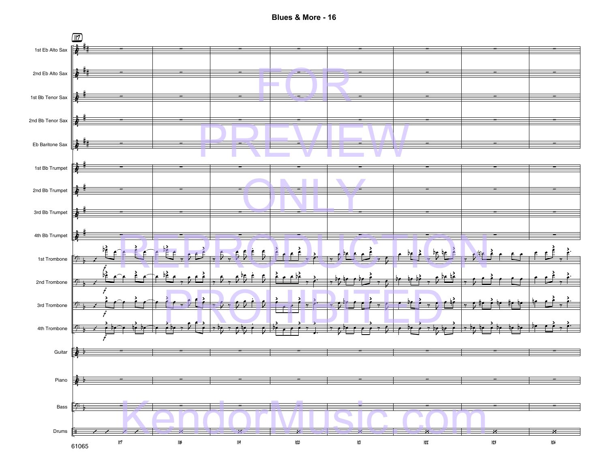![](_page_16_Figure_1.jpeg)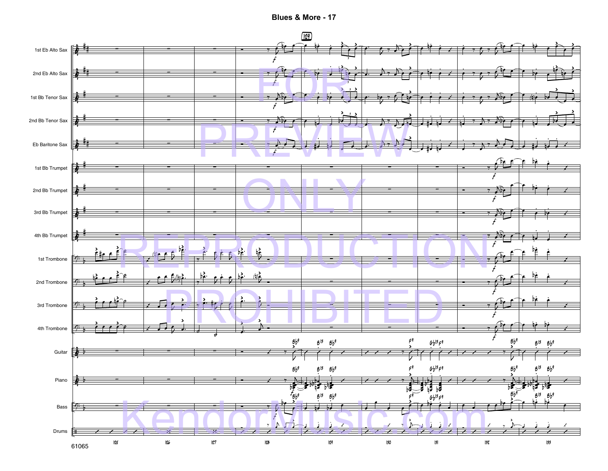![](_page_17_Figure_1.jpeg)